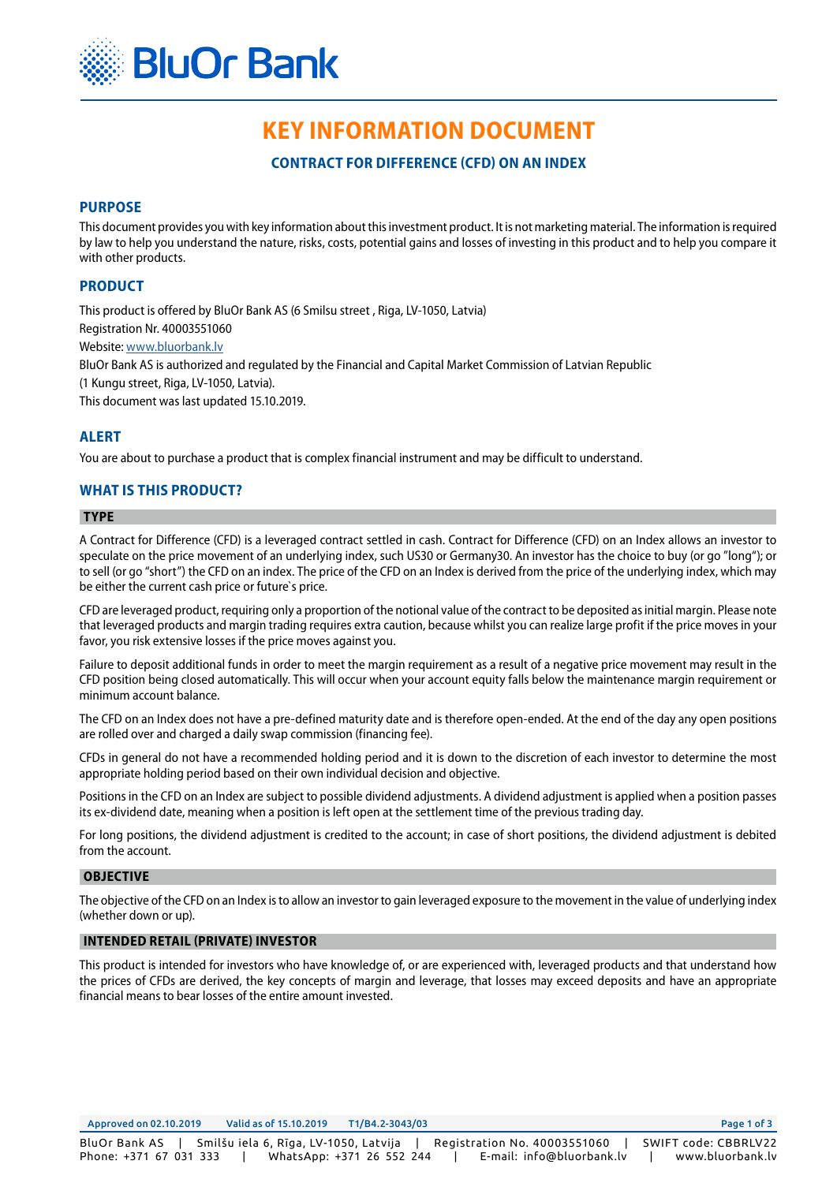

# **KEY INFORMATION DOCUMENT**

**CONTRACT FOR DIFFERENCE (CFD) ON AN INDEX**

# **PURPOSE**

This document provides you with key information about this investment product. It is not marketing material. The information is required by law to help you understand the nature, risks, costs, potential gains and losses of investing in this product and to help you compare it with other products.

# **PRODUCT**

This product is offered by BluOr Bank AS (6 Smilsu street , Riga, LV-1050, Latvia) Registration Nr. 40003551060 Website: www.bluorbank.lv BluOr Bank AS is authorized and regulated by the Financial and Capital Market Commission of Latvian Republic (1 Kungu street, Riga, LV-1050, Latvia). This document was last updated 15.10.2019.

## **ALERT**

You are about to purchase a product that is complex financial instrument and may be difficult to understand.

## **WHAT IS THIS PRODUCT?**

## **TYPE**

A Contract for Difference (CFD) is a leveraged contract settled in cash. Contract for Difference (CFD) on an Index allows an investor to speculate on the price movement of an underlying index, such US30 or Germany30. An investor has the choice to buy (or go "long"); or to sell (or go "short") the CFD on an index. The price of the CFD on an Index is derived from the price of the underlying index, which may be either the current cash price or future`s price.

CFD are leveraged product, requiring only a proportion of the notional value of the contract to be deposited as initial margin. Please note that leveraged products and margin trading requires extra caution, because whilst you can realize large profit if the price moves in your favor, you risk extensive losses if the price moves against you.

Failure to deposit additional funds in order to meet the margin requirement as a result of a negative price movement may result in the CFD position being closed automatically. This will occur when your account equity falls below the maintenance margin requirement or minimum account balance.

The CFD on an Index does not have a pre-defined maturity date and is therefore open-ended. At the end of the day any open positions are rolled over and charged a daily swap commission (financing fee).

CFDs in general do not have a recommended holding period and it is down to the discretion of each investor to determine the most appropriate holding period based on their own individual decision and objective.

Positions in the CFD on an Index are subject to possible dividend adjustments. A dividend adjustment is applied when a position passes its ex-dividend date, meaning when a position is left open at the settlement time of the previous trading day.

For long positions, the dividend adjustment is credited to the account; in case of short positions, the dividend adjustment is debited from the account.

#### **OBJECTIVE**

The objective of the CFD on an Index is to allow an investor to gain leveraged exposure to the movement in the value of underlying index (whether down or up).

#### **INTENDED RETAIL (PRIVATE) INVESTOR**

This product is intended for investors who have knowledge of, or are experienced with, leveraged products and that understand how the prices of CFDs are derived, the key concepts of margin and leverage, that losses may exceed deposits and have an appropriate financial means to bear losses of the entire amount invested.

Approved on 02.10.2019 Valid as of 15.10.2019 T1/B4.2-3043/03 Page 1 of 3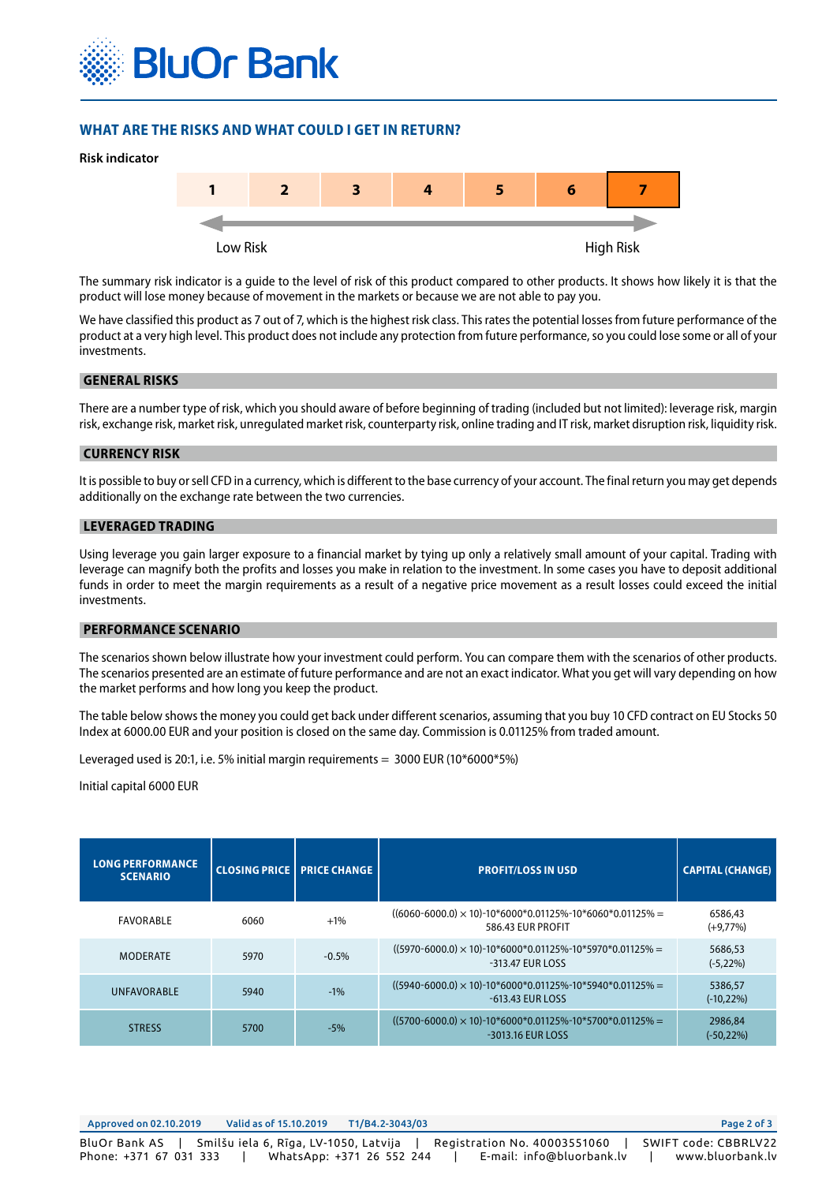

# **WHAT ARE THE RISKS AND WHAT COULD I GET IN RETURN?**



The summary risk indicator is a guide to the level of risk of this product compared to other products. It shows how likely it is that the product will lose money because of movement in the markets or because we are not able to pay you.

We have classified this product as 7 out of 7, which is the highest risk class. This rates the potential losses from future performance of the product at a very high level. This product does not include any protection from future performance, so you could lose some or all of your investments.

#### **GENERAL RISKS**

There are a number type of risk, which you should aware of before beginning of trading (included but not limited): leverage risk, margin risk, exchange risk, market risk, unregulated market risk, counterparty risk, online trading and IT risk, market disruption risk, liquidity risk.

#### **CURRENCY RISK**

It is possible to buy or sell CFD in a currency, which is different to the base currency of your account. The final return you may get depends additionally on the exchange rate between the two currencies.

#### **LEVERAGED TRADING**

Using leverage you gain larger exposure to a financial market by tying up only a relatively small amount of your capital. Trading with leverage can magnify both the profits and losses you make in relation to the investment. In some cases you have to deposit additional funds in order to meet the margin requirements as a result of a negative price movement as a result losses could exceed the initial investments.

#### **PERFORMANCE SCENARIO**

The scenarios shown below illustrate how your investment could perform. You can compare them with the scenarios of other products. The scenarios presented are an estimate of future performance and are not an exact indicator. What you get will vary depending on how the market performs and how long you keep the product.

The table below shows the money you could get back under different scenarios, assuming that you buy 10 CFD contract on EU Stocks 50 Index at 6000.00 EUR and your position is closed on the same day. Commission is 0.01125% from traded amount.

Leveraged used is 20:1, i.e. 5% initial margin requirements = 3000 EUR (10\*6000\*5%)

Initial capital 6000 EUR

| <b>LONG PERFORMANCE</b><br><b>SCENARIO</b> |      | <b>CLOSING PRICE   PRICE CHANGE</b> | <b>PROFIT/LOSS IN USD</b>                                                             | <b>CAPITAL (CHANGE)</b>  |
|--------------------------------------------|------|-------------------------------------|---------------------------------------------------------------------------------------|--------------------------|
| FAVORABLE                                  | 6060 | $+1\%$                              | $((6060-6000.0) \times 10)$ -10*6000*0.01125%-10*6060*0.01125% =<br>586.43 EUR PROFIT | 6586,43<br>$(+9,77%)$    |
| <b>MODERATE</b>                            | 5970 | $-0.5%$                             | $((5970-6000.0) \times 10)$ -10*6000*0.01125%-10*5970*0.01125% =<br>-313.47 EUR LOSS  | 5686,53<br>$(-5, 22\%)$  |
| <b>UNFAVORABLE</b>                         | 5940 | $-1\%$                              | $((5940-6000.0) \times 10)$ -10*6000*0.01125%-10*5940*0.01125% =<br>-613.43 EUR LOSS  | 5386,57<br>$(-10, 22\%)$ |
| <b>STRESS</b>                              | 5700 | $-5%$                               | $((5700-6000.0) \times 10)$ -10*6000*0.01125%-10*5700*0.01125% =<br>-3013.16 EUR LOSS | 2986,84<br>$(-50, 22%)$  |

| Approved on 02.10.2019                  | Valid as of 15.10.2019                | T1/B4.2-3043/03           |                                                           | Page 2 of 3                              |
|-----------------------------------------|---------------------------------------|---------------------------|-----------------------------------------------------------|------------------------------------------|
| BluOr Bank AS<br>Phone: +371 67 031 333 | Smilšu iela 6, Rīga, LV-1050, Latvija | WhatsApp: +371 26 552 244 | Registration No. 40003551060<br>E-mail: info@bluorbank.lv | SWIFT code: CBBRLV22<br>www.bluorbank.lv |